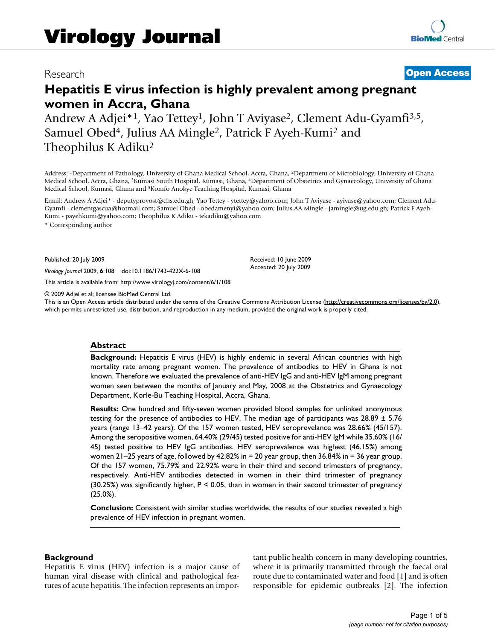## Research **[Open Access](http://www.biomedcentral.com/info/about/charter/)**

# **Hepatitis E virus infection is highly prevalent among pregnant women in Accra, Ghana**

Andrew A Adjei<sup>\*1</sup>, Yao Tettey<sup>1</sup>, John T Aviyase<sup>2</sup>, Clement Adu-Gyamfi<sup>3,5</sup>, Samuel Obed<sup>4</sup>, Julius AA Mingle<sup>2</sup>, Patrick F Ayeh-Kumi<sup>2</sup> and Theophilus K Adiku2

Address: 1Department of Pathology, University of Ghana Medical School, Accra, Ghana, 2Department of Microbiology, University of Ghana Medical School, Accra, Ghana, 3Kumasi South Hospital, Kumasi, Ghana, 4Department of Obstetrics and Gynaecology, University of Ghana Medical School, Kumasi, Ghana and 5Komfo Anokye Teaching Hospital, Kumasi, Ghana

Email: Andrew A Adjei\* - deputyprovost@chs.edu.gh; Yao Tettey - ytettey@yahoo.com; John T Aviyase - ayivase@yahoo.com; Clement Adu-Gyamfi - clementgascua@hotmail.com; Samuel Obed - obedamenyi@yahoo.com; Julius AA Mingle - jamingle@ug.edu.gh; Patrick F Ayeh-Kumi - payehkumi@yahoo.com; Theophilus K Adiku - tekadiku@yahoo.com

\* Corresponding author

Published: 20 July 2009

*Virology Journal* 2009, **6**:108 doi:10.1186/1743-422X-6-108

[This article is available from: http://www.virologyj.com/content/6/1/108](http://www.virologyj.com/content/6/1/108)

© 2009 Adjei et al; licensee BioMed Central Ltd.

This is an Open Access article distributed under the terms of the Creative Commons Attribution License [\(http://creativecommons.org/licenses/by/2.0\)](http://creativecommons.org/licenses/by/2.0), which permits unrestricted use, distribution, and reproduction in any medium, provided the original work is properly cited.

Received: 10 June 2009 Accepted: 20 July 2009

## **Abstract**

**Background:** Hepatitis E virus (HEV) is highly endemic in several African countries with high mortality rate among pregnant women. The prevalence of antibodies to HEV in Ghana is not known. Therefore we evaluated the prevalence of anti-HEV IgG and anti-HEV IgM among pregnant women seen between the months of January and May, 2008 at the Obstetrics and Gynaecology Department, Korle-Bu Teaching Hospital, Accra, Ghana.

**Results:** One hundred and fifty-seven women provided blood samples for unlinked anonymous testing for the presence of antibodies to HEV. The median age of participants was  $28.89 \pm 5.76$ years (range 13–42 years). Of the 157 women tested, HEV seroprevelance was 28.66% (45/157). Among the seropositive women, 64.40% (29/45) tested positive for anti-HEV IgM while 35.60% (16/ 45) tested positive to HEV IgG antibodies. HEV seroprevalence was highest (46.15%) among women 21–25 years of age, followed by 42.82% in = 20 year group, then 36.84% in = 36 year group. Of the 157 women, 75.79% and 22.92% were in their third and second trimesters of pregnancy, respectively. Anti-HEV antibodies detected in women in their third trimester of pregnancy (30.25%) was significantly higher, P < 0.05, than in women in their second trimester of pregnancy (25.0%).

**Conclusion:** Consistent with similar studies worldwide, the results of our studies revealed a high prevalence of HEV infection in pregnant women.

## **Background**

Hepatitis E virus (HEV) infection is a major cause of human viral disease with clinical and pathological features of acute hepatitis. The infection represents an important public health concern in many developing countries, where it is primarily transmitted through the faecal oral route due to contaminated water and food [1] and is often responsible for epidemic outbreaks [2]. The infection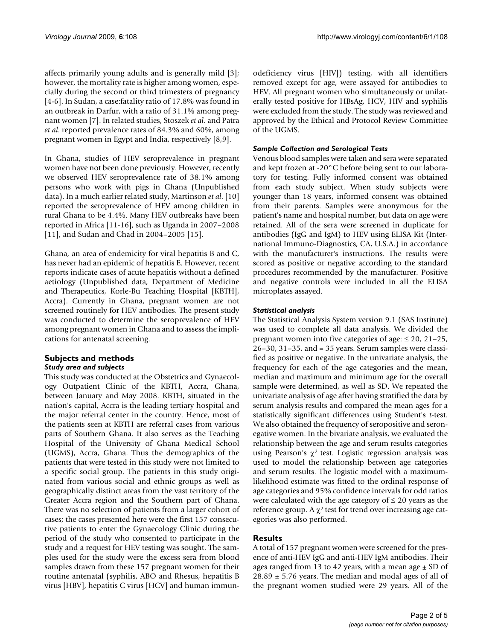affects primarily young adults and is generally mild [3]; however, the mortality rate is higher among women, especially during the second or third trimesters of pregnancy [4-6]. In Sudan, a case:fatality ratio of 17.8% was found in an outbreak in Darfur, with a ratio of 31.1% among pregnant women [7]. In related studies, Stoszek *et al*. and Patra *et al*. reported prevalence rates of 84.3% and 60%, among pregnant women in Egypt and India, respectively [8,9].

In Ghana, studies of HEV seroprevalence in pregnant women have not been done previously. However, recently we observed HEV seroprevalence rate of 38.1% among persons who work with pigs in Ghana (Unpublished data). In a much earlier related study, Martinson *et al*. [10] reported the seroprevalence of HEV among children in rural Ghana to be 4.4%. Many HEV outbreaks have been reported in Africa [11-16], such as Uganda in 2007–2008 [11], and Sudan and Chad in 2004–2005 [15].

Ghana, an area of endemicity for viral hepatitis B and C, has never had an epidemic of hepatitis E. However, recent reports indicate cases of acute hepatitis without a defined aetiology (Unpublished data, Department of Medicine and Therapeutics, Korle-Bu Teaching Hospital [KBTH], Accra). Currently in Ghana, pregnant women are not screened routinely for HEV antibodies. The present study was conducted to determine the seroprevalence of HEV among pregnant women in Ghana and to assess the implications for antenatal screening.

## **Subjects and methods** *Study area and subjects*

This study was conducted at the Obstetrics and Gynaecology Outpatient Clinic of the KBTH, Accra, Ghana, between January and May 2008. KBTH, situated in the nation's capital, Accra is the leading tertiary hospital and the major referral center in the country. Hence, most of the patients seen at KBTH are referral cases from various parts of Southern Ghana. It also serves as the Teaching Hospital of the University of Ghana Medical School (UGMS), Accra, Ghana. Thus the demographics of the patients that were tested in this study were not limited to a specific social group. The patients in this study originated from various social and ethnic groups as well as geographically distinct areas from the vast territory of the Greater Accra region and the Southern part of Ghana. There was no selection of patients from a larger cohort of cases; the cases presented here were the first 157 consecutive patients to enter the Gynaecology Clinic during the period of the study who consented to participate in the study and a request for HEV testing was sought. The samples used for the study were the excess sera from blood samples drawn from these 157 pregnant women for their routine antenatal (syphilis, ABO and Rhesus, hepatitis B virus [HBV], hepatitis C virus [HCV] and human immunodeficiency virus [HIV]) testing, with all identifiers removed except for age, were assayed for antibodies to HEV. All pregnant women who simultaneously or unilaterally tested positive for HBsAg, HCV, HIV and syphilis were excluded from the study. The study was reviewed and approved by the Ethical and Protocol Review Committee of the UGMS.

## *Sample Collection and Serological Tests*

Venous blood samples were taken and sera were separated and kept frozen at -20°C before being sent to our laboratory for testing. Fully informed consent was obtained from each study subject. When study subjects were younger than 18 years, informed consent was obtained from their parents. Samples were anonymous for the patient's name and hospital number, but data on age were retained. All of the sera were screened in duplicate for antibodies (IgG and IgM) to HEV using ELISA Kit (International Immuno-Diagnostics, CA, U.S.A.) in accordance with the manufacturer's instructions. The results were scored as positive or negative according to the standard procedures recommended by the manufacturer. Positive and negative controls were included in all the ELISA microplates assayed.

## *Statistical analysis*

The Statistical Analysis System version 9.1 (SAS Institute) was used to complete all data analysis. We divided the pregnant women into five categories of age:  $\leq 20$ , 21–25, 26–30, 31–35, and = 35 years. Serum samples were classified as positive or negative. In the univariate analysis, the frequency for each of the age categories and the mean, median and maximum and minimum age for the overall sample were determined, as well as SD. We repeated the univariate analysis of age after having stratified the data by serum analysis results and compared the mean ages for a statistically significant differences using Student's *t*-test. We also obtained the frequency of seropositive and seronegative women. In the bivariate analysis, we evaluated the relationship between the age and serum results categories using Pearson's  $\chi^2$  test. Logistic regression analysis was used to model the relationship between age categories and serum results. The logistic model with a maximumlikelihood estimate was fitted to the ordinal response of age categories and 95% confidence intervals for odd ratios were calculated with the age category of  $\leq 20$  years as the reference group. A  $\chi^2$  test for trend over increasing age categories was also performed.

## **Results**

A total of 157 pregnant women were screened for the presence of anti-HEV IgG and anti-HEV IgM antibodies. Their ages ranged from 13 to 42 years, with a mean age  $\pm$  SD of  $28.89 \pm 5.76$  years. The median and modal ages of all of the pregnant women studied were 29 years. All of the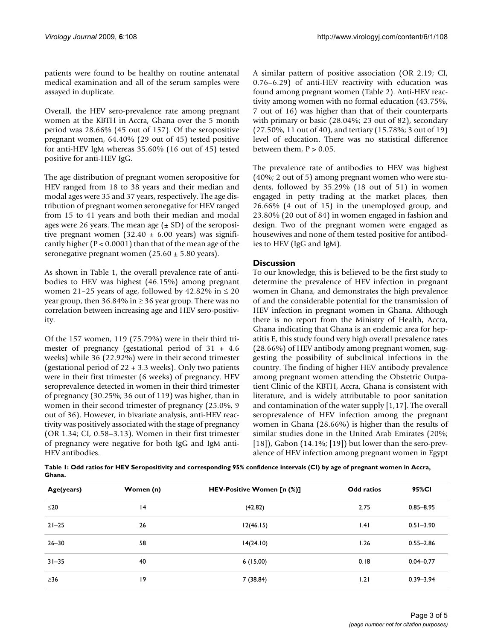patients were found to be healthy on routine antenatal medical examination and all of the serum samples were assayed in duplicate.

Overall, the HEV sero-prevalence rate among pregnant women at the KBTH in Accra, Ghana over the 5 month period was 28.66% (45 out of 157). Of the seropositive pregnant women, 64.40% (29 out of 45) tested positive for anti-HEV IgM whereas 35.60% (16 out of 45) tested positive for anti-HEV IgG.

The age distribution of pregnant women seropositive for HEV ranged from 18 to 38 years and their median and modal ages were 35 and 37 years, respectively. The age distribution of pregnant women seronegative for HEV ranged from 15 to 41 years and both their median and modal ages were 26 years. The mean age  $(\pm SD)$  of the seropositive pregnant women (32.40  $\pm$  6.00 years) was significantly higher ( $P < 0.0001$ ) than that of the mean age of the seronegative pregnant women  $(25.60 \pm 5.80 \text{ years})$ .

As shown in Table 1, the overall prevalence rate of antibodies to HEV was highest (46.15%) among pregnant women 21–25 years of age, followed by 42.82% in  $\leq$  20 year group, then 36.84% in ≥ 36 year group. There was no correlation between increasing age and HEV sero-positivity.

Of the 157 women, 119 (75.79%) were in their third trimester of pregnancy (gestational period of 31 + 4.6 weeks) while 36 (22.92%) were in their second trimester (gestational period of 22 + 3.3 weeks). Only two patients were in their first trimester (6 weeks) of pregnancy. HEV seroprevalence detected in women in their third trimester of pregnancy (30.25%; 36 out of 119) was higher, than in women in their second trimester of pregnancy (25.0%, 9 out of 36). However, in bivariate analysis, anti-HEV reactivity was positively associated with the stage of pregnancy (OR 1.34; CI, 0.58–3.13). Women in their first trimester of pregnancy were negative for both IgG and IgM anti-HEV antibodies.

A similar pattern of positive association (OR 2.19; CI, 0.76–6.29) of anti-HEV reactivity with education was found among pregnant women (Table 2). Anti-HEV reactivity among women with no formal education (43.75%, 7 out of 16) was higher than that of their counterparts with primary or basic (28.04%; 23 out of 82), secondary (27.50%, 11 out of 40), and tertiary (15.78%; 3 out of 19) level of education. There was no statistical difference between them,  $P > 0.05$ .

The prevalence rate of antibodies to HEV was highest (40%; 2 out of 5) among pregnant women who were students, followed by 35.29% (18 out of 51) in women engaged in petty trading at the market places, then 26.66% (4 out of 15) in the unemployed group, and 23.80% (20 out of 84) in women engaged in fashion and design. Two of the pregnant women were engaged as housewives and none of them tested positive for antibodies to HEV (IgG and IgM).

## **Discussion**

To our knowledge, this is believed to be the first study to determine the prevalence of HEV infection in pregnant women in Ghana, and demonstrates the high prevalence of and the considerable potential for the transmission of HEV infection in pregnant women in Ghana. Although there is no report from the Ministry of Health, Accra, Ghana indicating that Ghana is an endemic area for hepatitis E, this study found very high overall prevalence rates (28.66%) of HEV antibody among pregnant women, suggesting the possibility of subclinical infections in the country. The finding of higher HEV antibody prevalence among pregnant women attending the Obstetric Outpatient Clinic of the KBTH, Accra, Ghana is consistent with literature, and is widely attributable to poor sanitation and contamination of the water supply [1,17]. The overall seroprevalence of HEV infection among the pregnant women in Ghana (28.66%) is higher than the results of similar studies done in the United Arab Emirates (20%; [18]), Gabon  $(14.1\%; [19])$  but lower than the sero-prevalence of HEV infection among pregnant women in Egypt

**Table 1: Odd ratios for HEV Seropositivity and corresponding 95% confidence intervals (CI) by age of pregnant women in Accra, Ghana.**

| Age(years) | Women (n) | HEV-Positive Women [n (%)] | <b>Odd ratios</b> | 95%CI         |
|------------|-----------|----------------------------|-------------------|---------------|
| $≤20$      | 4         | (42.82)                    | 2.75              | $0.85 - 8.95$ |
| $21 - 25$  | 26        | 12(46.15)                  | .4                | $0.51 - 3.90$ |
| $26 - 30$  | 58        | 14(24.10)                  | 1.26              | $0.55 - 2.86$ |
| $31 - 35$  | 40        | 6(15.00)                   | 0.18              | $0.04 - 0.77$ |
| $\geq$ 36  | 19        | 7(38.84)                   | 1.21              | $0.39 - 3.94$ |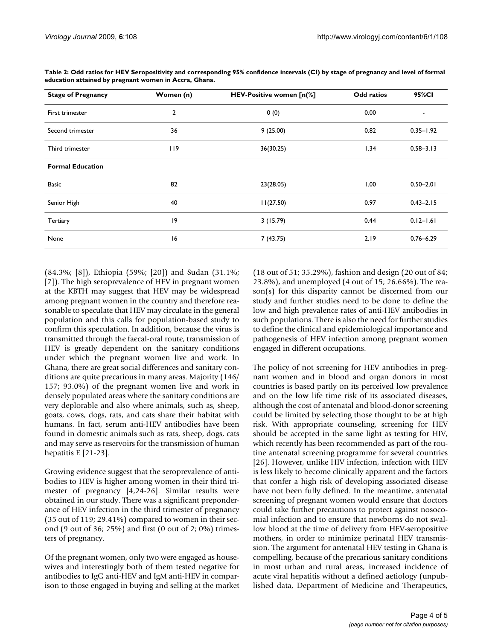| <b>Stage of Pregnancy</b> | Women (n) | HEV-Positive women [n(%] | <b>Odd ratios</b> | 95%CI         |
|---------------------------|-----------|--------------------------|-------------------|---------------|
| First trimester           | 2         | 0(0)                     | 0.00              | ٠             |
| Second trimester          | 36        | 9(25.00)                 | 0.82              | $0.35 - 1.92$ |
| Third trimester           | 119       | 36(30.25)                | 1.34              | $0.58 - 3.13$ |
| <b>Formal Education</b>   |           |                          |                   |               |
| <b>Basic</b>              | 82        | 23(28.05)                | 1.00              | $0.50 - 2.01$ |
| Senior High               | 40        | 11(27.50)                | 0.97              | $0.43 - 2.15$ |
| Tertiary                  | 19        | 3(15.79)                 | 0.44              | $0.12 - 1.61$ |
| None                      | 16        | 7 (43.75)                | 2.19              | $0.76 - 6.29$ |

**Table 2: Odd ratios for HEV Seropositivity and corresponding 95% confidence intervals (CI) by stage of pregnancy and level of formal education attained by pregnant women in Accra, Ghana.**

(84.3%; [8]), Ethiopia (59%; [20]) and Sudan (31.1%; [7]). The high seroprevalence of HEV in pregnant women at the KBTH may suggest that HEV may be widespread among pregnant women in the country and therefore reasonable to speculate that HEV may circulate in the general population and this calls for population-based study to confirm this speculation. In addition, because the virus is transmitted through the faecal-oral route, transmission of HEV is greatly dependent on the sanitary conditions under which the pregnant women live and work. In Ghana, there are great social differences and sanitary conditions are quite precarious in many areas. Majority (146/ 157; 93.0%) of the pregnant women live and work in densely populated areas where the sanitary conditions are very deplorable and also where animals, such as, sheep, goats, cows, dogs, rats, and cats share their habitat with humans. In fact, serum anti-HEV antibodies have been found in domestic animals such as rats, sheep, dogs, cats and may serve as reservoirs for the transmission of human hepatitis E [21-23].

Growing evidence suggest that the seroprevalence of antibodies to HEV is higher among women in their third trimester of pregnancy [4,24-26]. Similar results were obtained in our study. There was a significant preponderance of HEV infection in the third trimester of pregnancy (35 out of 119; 29.41%) compared to women in their second (9 out of 36; 25%) and first (0 out of 2; 0%) trimesters of pregnancy.

Of the pregnant women, only two were engaged as housewives and interestingly both of them tested negative for antibodies to IgG anti-HEV and IgM anti-HEV in comparison to those engaged in buying and selling at the market (18 out of 51; 35.29%), fashion and design (20 out of 84; 23.8%), and unemployed (4 out of 15; 26.66%). The reason(s) for this disparity cannot be discerned from our study and further studies need to be done to define the low and high prevalence rates of anti-HEV antibodies in such populations. There is also the need for further studies to define the clinical and epidemiological importance and pathogenesis of HEV infection among pregnant women engaged in different occupations.

The policy of not screening for HEV antibodies in pregnant women and in blood and organ donors in most countries is based partly on its perceived low prevalence and on the **low** life time risk of its associated diseases, although the cost of antenatal and blood-donor screening could be limited by selecting those thought to be at high risk. With appropriate counseling, screening for HEV should be accepted in the same light as testing for HIV, which recently has been recommended as part of the routine antenatal screening programme for several countries [26]. However, unlike HIV infection, infection with HEV is less likely to become clinically apparent and the factors that confer a high risk of developing associated disease have not been fully defined. In the meantime, antenatal screening of pregnant women would ensure that doctors could take further precautions to protect against nosocomial infection and to ensure that newborns do not swallow blood at the time of delivery from HEV-seropositive mothers, in order to minimize perinatal HEV transmission. The argument for antenatal HEV testing in Ghana is compelling, because of the precarious sanitary conditions in most urban and rural areas, increased incidence of acute viral hepatitis without a defined aetiology (unpublished data, Department of Medicine and Therapeutics,